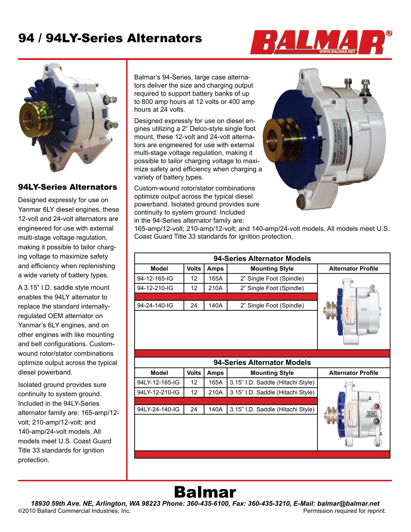## 94 / 94LY-Series Alternators





#### 94LY-Series Alternators

Designed expressly for use on Yanmar 6LY diesel engines, these 12-volt and 24-volt alternators are engineered for use with external multi-stage voltage regulation, making it possible to tailor charging voltage to maximize safety and efficiency when replenishing a wide variety of battery types.

A 3.15" I.D. saddle style mount enables the 94LY alternator to replace the standard internallyregulated OEM alternator on Yanmar's 6LY engines, and on other engines with like mounting and belt configurations. Customwound rotor/stator combinations optimize output across the typical diesel powerband.

Isolated ground provides sure continuity to system ground. Included in the 94LY-Series alternator family are: 165-amp/12 volt; 210-amp/12-volt; and 140-amp/24-volt models. All models meet U.S. Coast Guard Title 33 standards for ignition protection.

Balmar's 94-Series, large case alternators deliver the size and charging output required to support battery banks of up to 800 amp hours at 12 volts or 400 amp hours at 24 volts.

Designed expressly for use on diesel engines utilizing a 2" Delco-style single foot mount, these 12-volt and 24-volt alternators are engineered for use with external multi-stage voltage regulation, making it possible to tailor charging voltage to maximize safety and efficiency when charging a variety of battery types.

Custom-wound rotor/stator combinations optimize output across the typical diesel powerband. Isolated ground provides sure continuity to system ground. Included in the 94-Series alternator family are:



165-amp/12-volt; 210-amp/12-volt; and 140-amp/24-volt models. All models meet U.S. Coast Guard Title 33 standards for ignition protection.

| 94-Series Alternator Models |              |             |                                   |                           |  |
|-----------------------------|--------------|-------------|-----------------------------------|---------------------------|--|
| Model                       | <b>Volts</b> | <b>Amps</b> | <b>Mounting Style</b>             | <b>Alternator Profile</b> |  |
| 94-12-165-IG                | 12           | 165A        | 2" Single Foot (Spindle)          |                           |  |
| 94-12-210-IG                | 12           | 210A        | 2" Single Foot (Spindle)          |                           |  |
|                             |              |             |                                   |                           |  |
| 94-24-140-IG                | 24           | 140A        | 2" Single Foot (Spindle)          |                           |  |
|                             |              |             |                                   |                           |  |
|                             |              |             |                                   |                           |  |
|                             |              |             |                                   |                           |  |
|                             |              |             |                                   |                           |  |
|                             |              |             |                                   |                           |  |
|                             |              |             | 94-Series Alternator Models       |                           |  |
| <b>Model</b>                | <b>Volts</b> | <b>Amps</b> | <b>Mounting Style</b>             | <b>Alternator Profile</b> |  |
| 94LY-12-165-IG              | 12           | 165A        | 3.15" I.D. Saddle (Hitachi Style) |                           |  |
| 94LY-12-210-IG              | 12           | 210A        | 3.15" I.D. Saddle (Hitachi Style) |                           |  |
|                             |              |             |                                   |                           |  |
| 94LY-24-140-IG              | 24           | 140A        | 3.15" I.D. Saddle (Hitachi Style) |                           |  |
|                             |              |             |                                   |                           |  |
|                             |              |             |                                   |                           |  |
|                             |              |             |                                   |                           |  |

# Balmar

*18930 59th Ave. NE, Arlington, WA 98223 Phone: 360-435-6100, Fax: 360-435-3210, E-Mail: balmar@balmar.net* **©**2010 Ballard Commercial Industries, Inc. Permission required for reprint.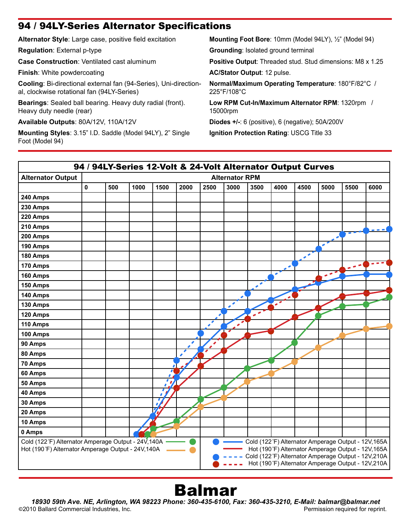#### 94 / 94LY-Series Alternator Specifications

**Alternator Style**: Large case, positive field excitation **Regulation**: External p-type **Case Construction**: Ventilated cast aluminum **Finish**: White powdercoating **Cooling**: Bi-directional external fan (94-Series), Uni-directional, clockwise rotational fan (94LY-Series) **Bearings**: Sealed ball bearing. Heavy duty radial (front). Heavy duty needle (rear) **Available Outputs**: 80A/12V, 110A/12V **Mounting Styles**: 3.15" I.D. Saddle (Model 94LY), 2" Single Foot (Model 94) **Mounting Foot Bore**: 10mm (Model 94LY), ½" (Model 94) **Grounding**: Isolated ground terminal **Positive Output**: Threaded stud. Stud dimensions: M8 x 1.25 **AC/Stator Output**: 12 pulse. **Normal/Maximum Operating Temperature**: 180°F/82°C / 225°F/108°C **Low RPM Cut-In/Maximum Alternator RPM**: 1320rpm / 15000rpm **Diodes +/-**: 6 (positive), 6 (negative); 50A/200V **Ignition Protection Rating**: USCG Title 33



# Balmar

*18930 59th Ave. NE, Arlington, WA 98223 Phone: 360-435-6100, Fax: 360-435-3210, E-Mail: balmar@balmar.net* ©2010 Ballard Commercial Industries, Inc.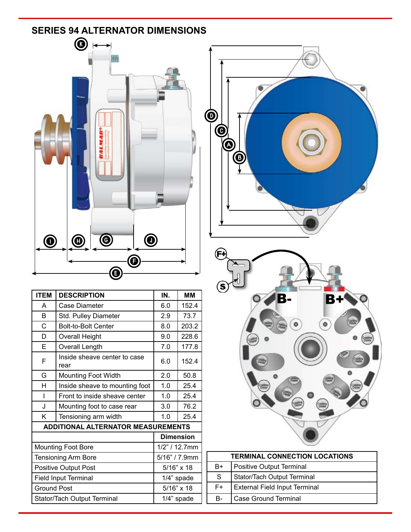### **SeRIeS 94 ALTeRNATOR DIMeNSIONS**



| <b>ITEM</b>                 | <b>DESCRIPTION</b>                        | IN.               | <b>MM</b> |
|-----------------------------|-------------------------------------------|-------------------|-----------|
| A                           | Case Diameter                             | 6.0               | 152.4     |
| <sub>R</sub>                | Std. Pulley Diameter                      | 2.9               | 73.7      |
| C                           | <b>Bolt-to-Bolt Center</b>                | 8.0               | 203.2     |
| D                           | <b>Overall Height</b>                     | 9.0               | 228.6     |
| E                           | Overall Length                            | 7.0               | 177.8     |
| F                           | Inside sheave center to case<br>rear      | 6.0               | 152.4     |
| G                           | <b>Mounting Foot Width</b>                | 2.0               | 50.8      |
| H                           | Inside sheave to mounting foot            | 1.0               | 25.4      |
| ı                           | Front to inside sheave center             | 1.0               | 25.4      |
| J                           | Mounting foot to case rear                | 3.0               | 76.2      |
| Κ                           | Tensioning arm width                      | 1.0               | 25.4      |
|                             | <b>ADDITIONAL ALTERNATOR MEASUREMENTS</b> |                   |           |
|                             |                                           | <b>Dimension</b>  |           |
| <b>Mounting Foot Bore</b>   |                                           | $1/2$ " / 12.7mm  |           |
| <b>Tensioning Arm Bore</b>  |                                           | 5/16" / 7.9mm     |           |
| <b>Positive Output Post</b> |                                           | $5/16" \times 18$ |           |
| <b>Field Input Terminal</b> |                                           | 1/4" spade        |           |
| <b>Ground Post</b>          |                                           | 5/16" x 18        |           |
| Stator/Tach Output Terminal |                                           | 1/4" spade        |           |





| <b>TERMINAL CONNECTION LOCATIONS</b> |                                      |  |
|--------------------------------------|--------------------------------------|--|
| B+                                   | <b>Positive Output Terminal</b>      |  |
| S                                    | Stator/Tach Output Terminal          |  |
| F+                                   | <b>External Field Input Terminal</b> |  |
| B-                                   | <b>Case Ground Terminal</b>          |  |
|                                      |                                      |  |